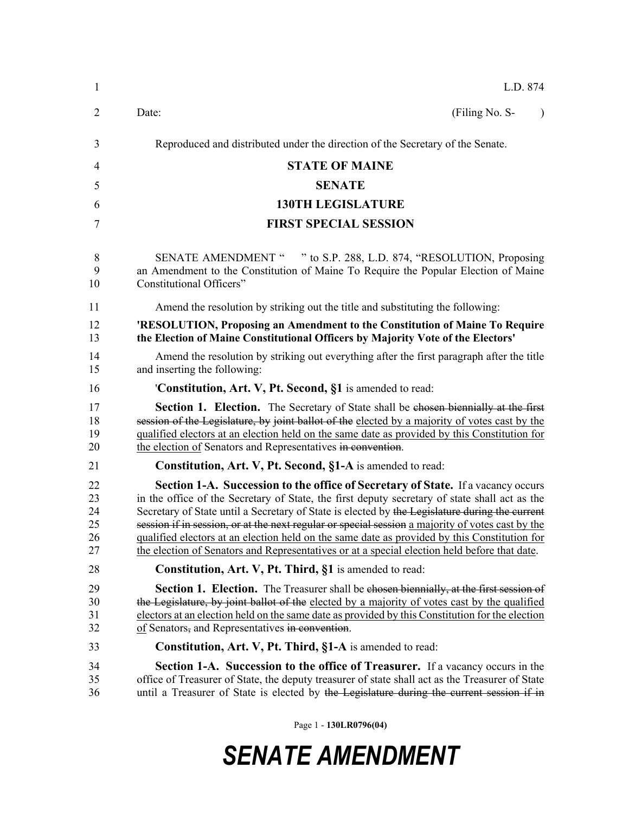| $\mathbf{1}$                     | L.D. 874                                                                                                                                                                                                                                                                                                                                                                                                                                                                                                                                                                                       |
|----------------------------------|------------------------------------------------------------------------------------------------------------------------------------------------------------------------------------------------------------------------------------------------------------------------------------------------------------------------------------------------------------------------------------------------------------------------------------------------------------------------------------------------------------------------------------------------------------------------------------------------|
| 2                                | Date:<br>(Filing No. S-<br>$\lambda$                                                                                                                                                                                                                                                                                                                                                                                                                                                                                                                                                           |
| 3                                | Reproduced and distributed under the direction of the Secretary of the Senate.                                                                                                                                                                                                                                                                                                                                                                                                                                                                                                                 |
| $\overline{4}$                   | <b>STATE OF MAINE</b>                                                                                                                                                                                                                                                                                                                                                                                                                                                                                                                                                                          |
| 5                                | <b>SENATE</b>                                                                                                                                                                                                                                                                                                                                                                                                                                                                                                                                                                                  |
| 6                                | <b>130TH LEGISLATURE</b>                                                                                                                                                                                                                                                                                                                                                                                                                                                                                                                                                                       |
| 7                                | <b>FIRST SPECIAL SESSION</b>                                                                                                                                                                                                                                                                                                                                                                                                                                                                                                                                                                   |
| 8<br>9<br>10                     | " to S.P. 288, L.D. 874, "RESOLUTION, Proposing<br><b>SENATE AMENDMENT "</b><br>an Amendment to the Constitution of Maine To Require the Popular Election of Maine<br>Constitutional Officers"                                                                                                                                                                                                                                                                                                                                                                                                 |
| 11                               | Amend the resolution by striking out the title and substituting the following:                                                                                                                                                                                                                                                                                                                                                                                                                                                                                                                 |
| 12<br>13                         | 'RESOLUTION, Proposing an Amendment to the Constitution of Maine To Require<br>the Election of Maine Constitutional Officers by Majority Vote of the Electors'                                                                                                                                                                                                                                                                                                                                                                                                                                 |
| 14<br>15                         | Amend the resolution by striking out everything after the first paragraph after the title<br>and inserting the following:                                                                                                                                                                                                                                                                                                                                                                                                                                                                      |
| 16                               | 'Constitution, Art. V, Pt. Second, §1 is amended to read:                                                                                                                                                                                                                                                                                                                                                                                                                                                                                                                                      |
| 17<br>18<br>19<br>20             | <b>Section 1. Election.</b> The Secretary of State shall be chosen biennially at the first<br>session of the Legislature, by joint ballot of the elected by a majority of votes cast by the<br>qualified electors at an election held on the same date as provided by this Constitution for<br>the election of Senators and Representatives in convention.                                                                                                                                                                                                                                     |
| 21                               | Constitution, Art. V, Pt. Second, §1-A is amended to read:                                                                                                                                                                                                                                                                                                                                                                                                                                                                                                                                     |
| 22<br>23<br>24<br>25<br>26<br>27 | <b>Section 1-A. Succession to the office of Secretary of State.</b> If a vacancy occurs<br>in the office of the Secretary of State, the first deputy secretary of state shall act as the<br>Secretary of State until a Secretary of State is elected by the Legislature during the current<br>session if in session, or at the next regular or special session a majority of votes cast by the<br>qualified electors at an election held on the same date as provided by this Constitution for<br>the election of Senators and Representatives or at a special election held before that date. |
| 28                               | Constitution, Art. V, Pt. Third, §1 is amended to read:                                                                                                                                                                                                                                                                                                                                                                                                                                                                                                                                        |
| 29<br>30<br>31<br>32             | Section 1. Election. The Treasurer shall be chosen biennially, at the first session of<br>the Legislature, by joint ballot of the elected by a majority of votes cast by the qualified<br>electors at an election held on the same date as provided by this Constitution for the election<br>of Senators, and Representatives in convention.                                                                                                                                                                                                                                                   |
| 33                               | <b>Constitution, Art. V, Pt. Third, §1-A</b> is amended to read:                                                                                                                                                                                                                                                                                                                                                                                                                                                                                                                               |
| 34<br>35<br>36                   | Section 1-A. Succession to the office of Treasurer. If a vacancy occurs in the<br>office of Treasurer of State, the deputy treasurer of state shall act as the Treasurer of State<br>until a Treasurer of State is elected by the Legislature during the current session if in                                                                                                                                                                                                                                                                                                                 |

Page 1 - **130LR0796(04)**

## *SENATE AMENDMENT*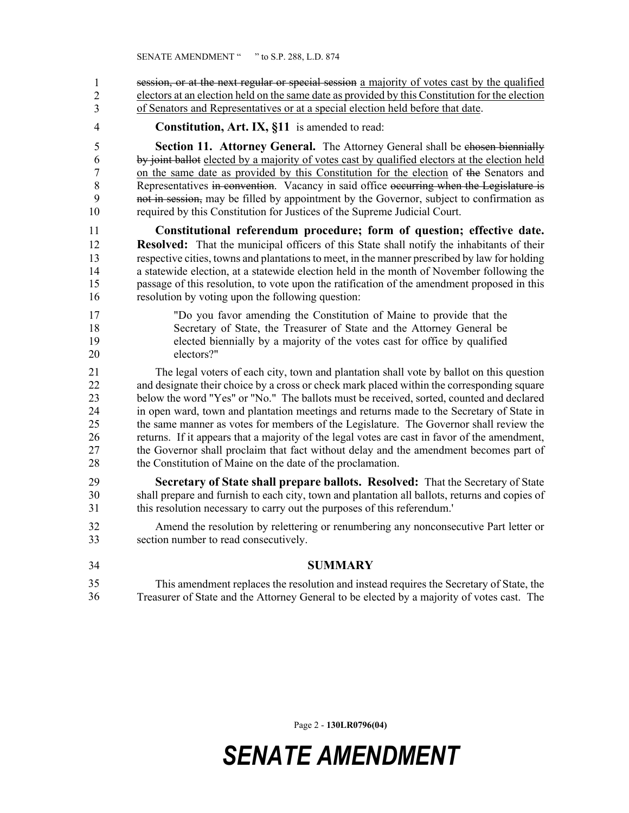session, or at the next regular or special session a majority of votes cast by the qualified electors at an election held on the same date as provided by this Constitution for the election of Senators and Representatives or at a special election held before that date. 1 2 3

4 **Constitution, Art. IX, §11** is amended to read:

5 **Section 11. Attorney General.** The Attorney General shall be chosen biennially 6 by joint ballot elected by a majority of votes cast by qualified electors at the election held 7 on the same date as provided by this Constitution for the election of the Senators and 8 Representatives in convention. Vacancy in said office occurring when the Legislature is 9 not in session, may be filled by appointment by the Governor, subject to confirmation as 10 required by this Constitution for Justices of the Supreme Judicial Court.

11 **Constitutional referendum procedure; form of question; effective date.**  12 **Resolved:** That the municipal officers of this State shall notify the inhabitants of their 13 respective cities, towns and plantations to meet, in the manner prescribed by law for holding 14 a statewide election, at a statewide election held in the month of November following the 15 passage of this resolution, to vote upon the ratification of the amendment proposed in this 16 resolution by voting upon the following question:

17 "Do you favor amending the Constitution of Maine to provide that the 18 Secretary of State, the Treasurer of State and the Attorney General be 19 elected biennially by a majority of the votes cast for office by qualified 20 electors?"

21 The legal voters of each city, town and plantation shall vote by ballot on this question 22 and designate their choice by a cross or check mark placed within the corresponding square 23 below the word "Yes" or "No." The ballots must be received, sorted, counted and declared 24 in open ward, town and plantation meetings and returns made to the Secretary of State in 25 the same manner as votes for members of the Legislature. The Governor shall review the 26 returns. If it appears that a majority of the legal votes are cast in favor of the amendment, 27 the Governor shall proclaim that fact without delay and the amendment becomes part of 28 the Constitution of Maine on the date of the proclamation.

- 29 **Secretary of State shall prepare ballots. Resolved:** That the Secretary of State 30 shall prepare and furnish to each city, town and plantation all ballots, returns and copies of 31 this resolution necessary to carry out the purposes of this referendum.'
- 32 Amend the resolution by relettering or renumbering any nonconsecutive Part letter or 33 section number to read consecutively.
- 34 **SUMMARY** 35 This amendment replaces the resolution and instead requires the Secretary of State, the 36 Treasurer of State and the Attorney General to be elected by a majority of votes cast. The 35 36

Page 2 - **130LR0796(04)**

## *SENATE AMENDMENT*